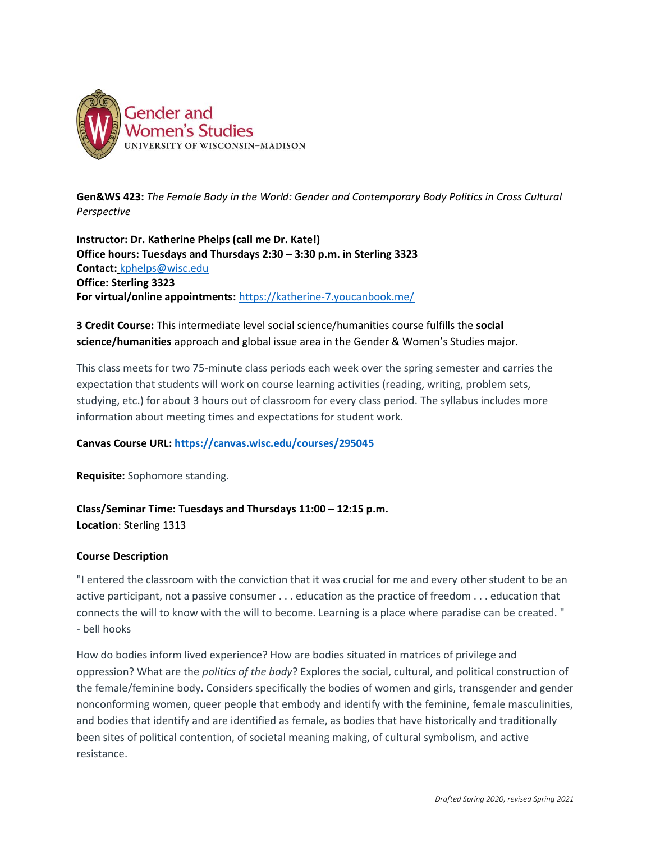

**Gen&WS 423:** *The Female Body in the World: Gender and Contemporary Body Politics in Cross Cultural Perspective*

**Instructor: Dr. Katherine Phelps (call me Dr. Kate!) Office hours: Tuesdays and Thursdays 2:30 – 3:30 p.m. in Sterling 3323 Contact:** [kphelps@wisc.edu](mailto:kphelps@wisc.edu) **Office: Sterling 3323 For virtual/online appointments:** <https://katherine-7.youcanbook.me/>

# **3 Credit Course:** This intermediate level social science/humanities course fulfills the **social science/humanities** approach and global issue area in the Gender & Women's Studies major.

This class meets for two 75-minute class periods each week over the spring semester and carries the expectation that students will work on course learning activities (reading, writing, problem sets, studying, etc.) for about 3 hours out of classroom for every class period. The syllabus includes more information about meeting times and expectations for student work.

## **Canvas Course URL:<https://canvas.wisc.edu/courses/295045>**

**Requisite:** Sophomore standing.

**Class/Seminar Time: Tuesdays and Thursdays 11:00 – 12:15 p.m. Location**: Sterling 1313

## **Course Description**

"I entered the classroom with the conviction that it was crucial for me and every other student to be an active participant, not a passive consumer . . . education as the practice of freedom . . . education that connects the will to know with the will to become. Learning is a place where paradise can be created. " - bell hooks

How do bodies inform lived experience? How are bodies situated in matrices of privilege and oppression? What are the *politics of the body*? Explores the social, cultural, and political construction of the female/feminine body. Considers specifically the bodies of women and girls, transgender and gender nonconforming women, queer people that embody and identify with the feminine, female masculinities, and bodies that identify and are identified as female, as bodies that have historically and traditionally been sites of political contention, of societal meaning making, of cultural symbolism, and active resistance.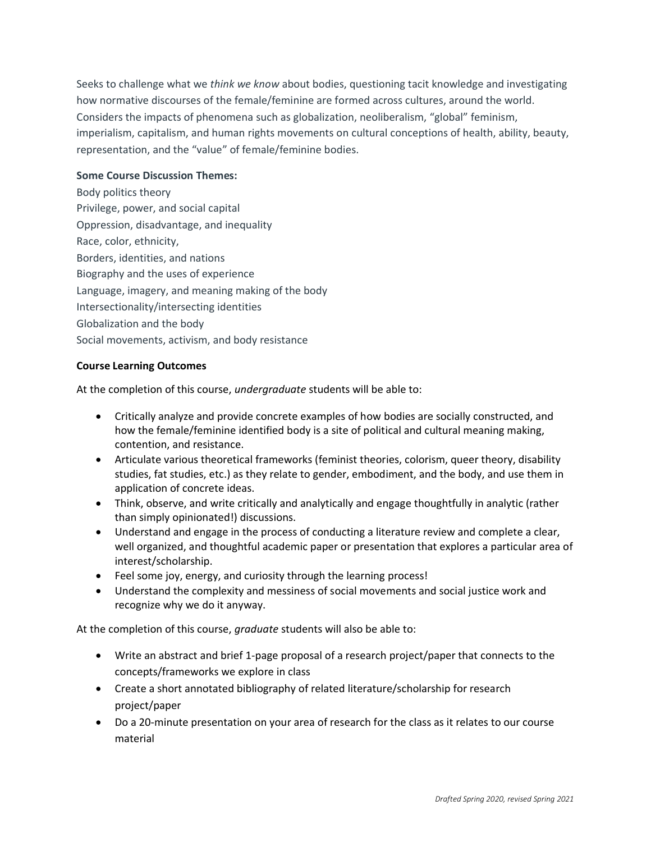Seeks to challenge what we *think we know* about bodies, questioning tacit knowledge and investigating how normative discourses of the female/feminine are formed across cultures, around the world. Considers the impacts of phenomena such as globalization, neoliberalism, "global" feminism, imperialism, capitalism, and human rights movements on cultural conceptions of health, ability, beauty, representation, and the "value" of female/feminine bodies.

### **Some Course Discussion Themes:**

Body politics theory Privilege, power, and social capital Oppression, disadvantage, and inequality Race, color, ethnicity, Borders, identities, and nations Biography and the uses of experience Language, imagery, and meaning making of the body Intersectionality/intersecting identities Globalization and the body Social movements, activism, and body resistance

### **Course Learning Outcomes**

At the completion of this course, *undergraduate* students will be able to:

- Critically analyze and provide concrete examples of how bodies are socially constructed, and how the female/feminine identified body is a site of political and cultural meaning making, contention, and resistance.
- Articulate various theoretical frameworks (feminist theories, colorism, queer theory, disability studies, fat studies, etc.) as they relate to gender, embodiment, and the body, and use them in application of concrete ideas.
- Think, observe, and write critically and analytically and engage thoughtfully in analytic (rather than simply opinionated!) discussions.
- Understand and engage in the process of conducting a literature review and complete a clear, well organized, and thoughtful academic paper or presentation that explores a particular area of interest/scholarship.
- Feel some joy, energy, and curiosity through the learning process!
- Understand the complexity and messiness of social movements and social justice work and recognize why we do it anyway.

At the completion of this course, *graduate* students will also be able to:

- Write an abstract and brief 1-page proposal of a research project/paper that connects to the concepts/frameworks we explore in class
- Create a short annotated bibliography of related literature/scholarship for research project/paper
- Do a 20-minute presentation on your area of research for the class as it relates to our course material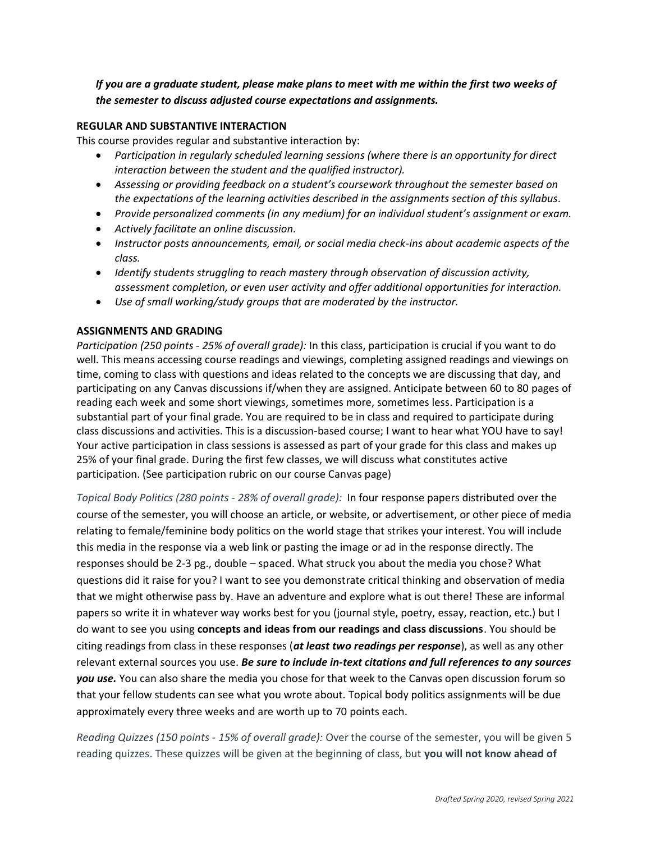*If you are a graduate student, please make plans to meet with me within the first two weeks of the semester to discuss adjusted course expectations and assignments.*

## **REGULAR AND SUBSTANTIVE INTERACTION**

This course provides regular and substantive interaction by:

- *Participation in regularly scheduled learning sessions (where there is an opportunity for direct interaction between the student and the qualified instructor).*
- *Assessing or providing feedback on a student's coursework throughout the semester based on the expectations of the learning activities described in the assignments section of this syllabus.*
- *Provide personalized comments (in any medium) for an individual student's assignment or exam.*
- *Actively facilitate an online discussion.*
- *Instructor posts announcements, email, or social media check-ins about academic aspects of the class.*
- *Identify students struggling to reach mastery through observation of discussion activity, assessment completion, or even user activity and offer additional opportunities for interaction.*
- *Use of small working/study groups that are moderated by the instructor.*

## **ASSIGNMENTS AND GRADING**

*Participation (250 points - 25% of overall grade):* In this class, participation is crucial if you want to do well. This means accessing course readings and viewings, completing assigned readings and viewings on time, coming to class with questions and ideas related to the concepts we are discussing that day, and participating on any Canvas discussions if/when they are assigned. Anticipate between 60 to 80 pages of reading each week and some short viewings, sometimes more, sometimes less. Participation is a substantial part of your final grade. You are required to be in class and required to participate during class discussions and activities. This is a discussion-based course; I want to hear what YOU have to say! Your active participation in class sessions is assessed as part of your grade for this class and makes up 25% of your final grade. During the first few classes, we will discuss what constitutes active participation. (See participation rubric on our course Canvas page)

*Topical Body Politics (280 points - 28% of overall grade):* In four response papers distributed over the course of the semester, you will choose an article, or website, or advertisement, or other piece of media relating to female/feminine body politics on the world stage that strikes your interest. You will include this media in the response via a web link or pasting the image or ad in the response directly. The responses should be 2-3 pg., double – spaced. What struck you about the media you chose? What questions did it raise for you? I want to see you demonstrate critical thinking and observation of media that we might otherwise pass by. Have an adventure and explore what is out there! These are informal papers so write it in whatever way works best for you (journal style, poetry, essay, reaction, etc.) but I do want to see you using **concepts and ideas from our readings and class discussions**. You should be citing readings from class in these responses (*at least two readings per response*), as well as any other relevant external sources you use. *Be sure to include in-text citations and full references to any sources you use.* You can also share the media you chose for that week to the Canvas open discussion forum so that your fellow students can see what you wrote about. Topical body politics assignments will be due approximately every three weeks and are worth up to 70 points each.

*Reading Quizzes (150 points - 15% of overall grade):* Over the course of the semester, you will be given 5 reading quizzes. These quizzes will be given at the beginning of class, but **you will not know ahead of**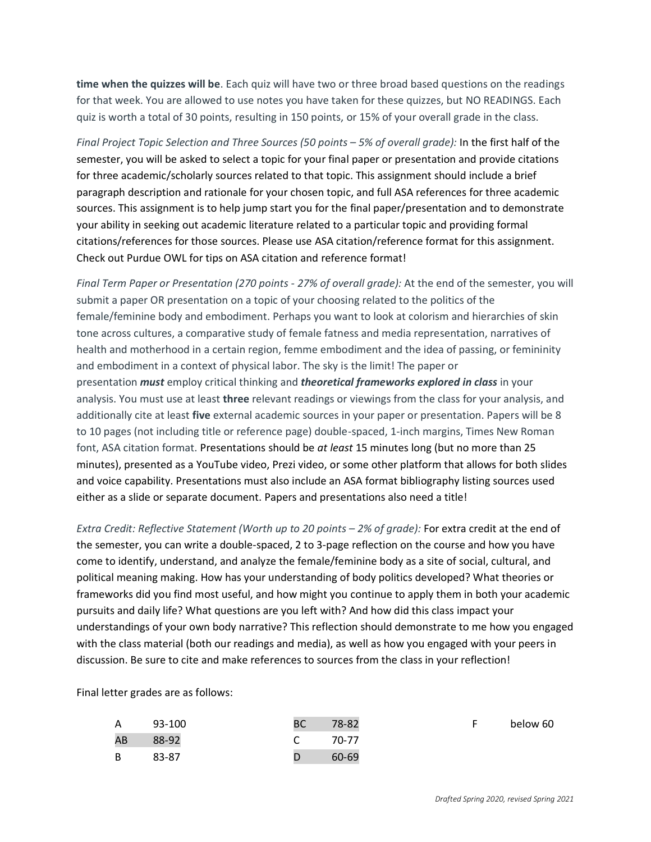**time when the quizzes will be**. Each quiz will have two or three broad based questions on the readings for that week. You are allowed to use notes you have taken for these quizzes, but NO READINGS. Each quiz is worth a total of 30 points, resulting in 150 points, or 15% of your overall grade in the class.

*Final Project Topic Selection and Three Sources (50 points – 5% of overall grade):* In the first half of the semester, you will be asked to select a topic for your final paper or presentation and provide citations for three academic/scholarly sources related to that topic. This assignment should include a brief paragraph description and rationale for your chosen topic, and full ASA references for three academic sources. This assignment is to help jump start you for the final paper/presentation and to demonstrate your ability in seeking out academic literature related to a particular topic and providing formal citations/references for those sources. Please use ASA citation/reference format for this assignment. Check out Purdue OWL for tips on ASA citation and reference format!

*Final Term Paper or Presentation (270 points - 27% of overall grade):* At the end of the semester, you will submit a paper OR presentation on a topic of your choosing related to the politics of the female/feminine body and embodiment. Perhaps you want to look at colorism and hierarchies of skin tone across cultures, a comparative study of female fatness and media representation, narratives of health and motherhood in a certain region, femme embodiment and the idea of passing, or femininity and embodiment in a context of physical labor. The sky is the limit! The paper or presentation *must* employ critical thinking and *theoretical frameworks explored in class* in your analysis. You must use at least **three** relevant readings or viewings from the class for your analysis, and additionally cite at least **five** external academic sources in your paper or presentation. Papers will be 8 to 10 pages (not including title or reference page) double-spaced, 1-inch margins, Times New Roman font, ASA citation format. Presentations should be *at least* 15 minutes long (but no more than 25 minutes), presented as a YouTube video, Prezi video, or some other platform that allows for both slides and voice capability. Presentations must also include an ASA format bibliography listing sources used either as a slide or separate document. Papers and presentations also need a title!

*Extra Credit: Reflective Statement (Worth up to 20 points – 2% of grade): For extra credit at the end of* the semester, you can write a double-spaced, 2 to 3-page reflection on the course and how you have come to identify, understand, and analyze the female/feminine body as a site of social, cultural, and political meaning making. How has your understanding of body politics developed? What theories or frameworks did you find most useful, and how might you continue to apply them in both your academic pursuits and daily life? What questions are you left with? And how did this class impact your understandings of your own body narrative? This reflection should demonstrate to me how you engaged with the class material (both our readings and media), as well as how you engaged with your peers in discussion. Be sure to cite and make references to sources from the class in your reflection!

Final letter grades are as follows:

| A  | 93-100 | BC /          | 78-82 | below 60 |
|----|--------|---------------|-------|----------|
| AB | 88-92  | $\mathcal{C}$ | 70-77 |          |
| B. | 83-87  |               | 60-69 |          |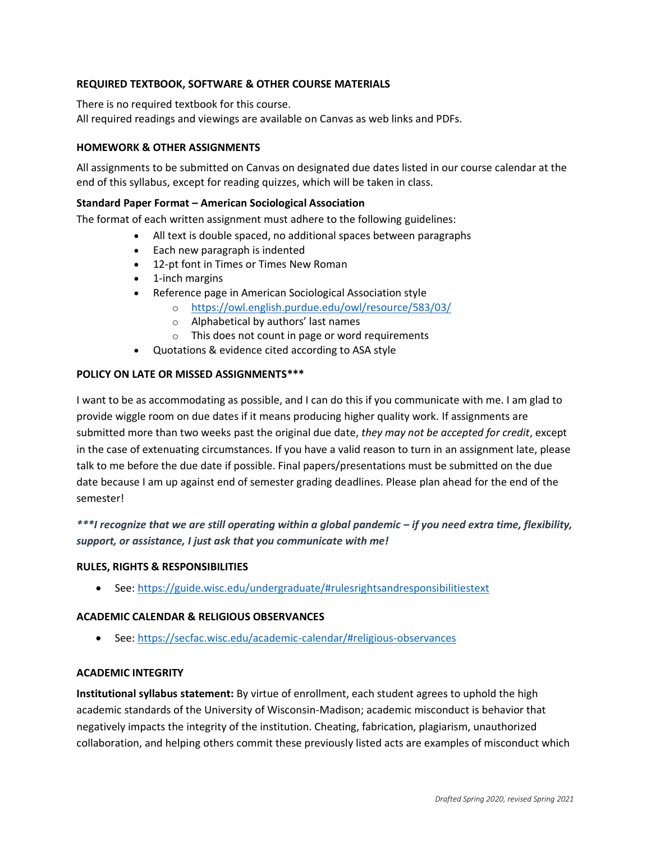## **REQUIRED TEXTBOOK, SOFTWARE & OTHER COURSE MATERIALS**

There is no required textbook for this course.

All required readings and viewings are available on Canvas as web links and PDFs.

### **HOMEWORK & OTHER ASSIGNMENTS**

All assignments to be submitted on Canvas on designated due dates listed in our course calendar at the end of this syllabus, except for reading quizzes, which will be taken in class.

### **Standard Paper Format – American Sociological Association**

The format of each written assignment must adhere to the following guidelines:

- All text is double spaced, no additional spaces between paragraphs
- Each new paragraph is indented
- 12-pt font in Times or Times New Roman
- 1-inch margins
- Reference page in American Sociological Association style
	- o <https://owl.english.purdue.edu/owl/resource/583/03/>
	- o Alphabetical by authors' last names
	- o This does not count in page or word requirements
- Quotations & evidence cited according to ASA style

### **POLICY ON LATE OR MISSED ASSIGNMENTS\*\*\***

I want to be as accommodating as possible, and I can do this if you communicate with me. I am glad to provide wiggle room on due dates if it means producing higher quality work. If assignments are submitted more than two weeks past the original due date, *they may not be accepted for credit*, except in the case of extenuating circumstances. If you have a valid reason to turn in an assignment late, please talk to me before the due date if possible. Final papers/presentations must be submitted on the due date because I am up against end of semester grading deadlines. Please plan ahead for the end of the semester!

*\*\*\*I recognize that we are still operating within a global pandemic – if you need extra time, flexibility, support, or assistance, I just ask that you communicate with me!* 

#### **RULES, RIGHTS & RESPONSIBILITIES**

• See:<https://guide.wisc.edu/undergraduate/#rulesrightsandresponsibilitiestext>

#### **ACADEMIC CALENDAR & RELIGIOUS OBSERVANCES**

• See:<https://secfac.wisc.edu/academic-calendar/#religious-observances>

#### **ACADEMIC INTEGRITY**

**Institutional syllabus statement:** By virtue of enrollment, each student agrees to uphold the high academic standards of the University of Wisconsin-Madison; academic misconduct is behavior that negatively impacts the integrity of the institution. Cheating, fabrication, plagiarism, unauthorized collaboration, and helping others commit these previously listed acts are examples of misconduct which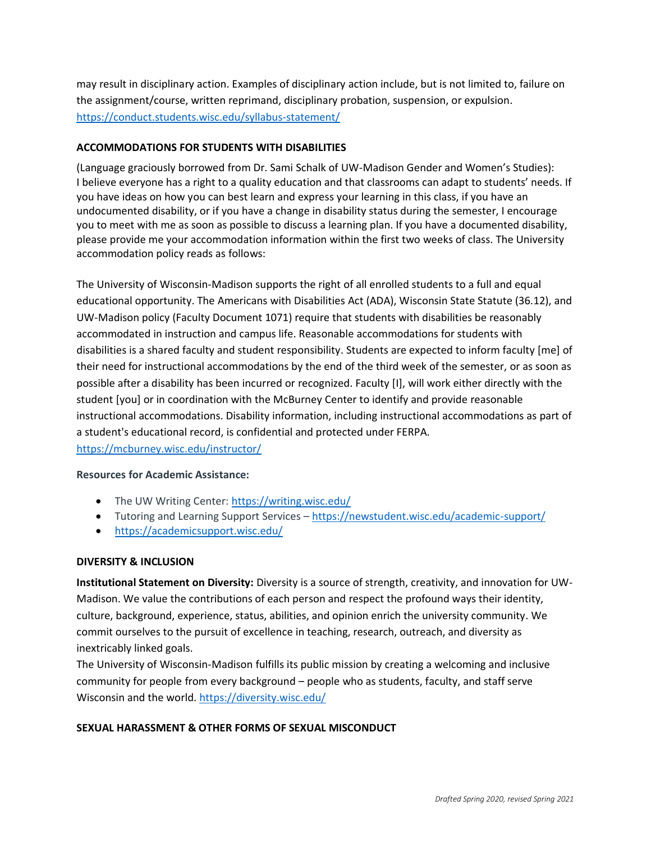may result in disciplinary action. Examples of disciplinary action include, but is not limited to, failure on the assignment/course, written reprimand, disciplinary probation, suspension, or expulsion. <https://conduct.students.wisc.edu/syllabus-statement/>

## **ACCOMMODATIONS FOR STUDENTS WITH DISABILITIES**

(Language graciously borrowed from Dr. Sami Schalk of UW-Madison Gender and Women's Studies): I believe everyone has a right to a quality education and that classrooms can adapt to students' needs. If you have ideas on how you can best learn and express your learning in this class, if you have an undocumented disability, or if you have a change in disability status during the semester, I encourage you to meet with me as soon as possible to discuss a learning plan. If you have a documented disability, please provide me your accommodation information within the first two weeks of class. The University accommodation policy reads as follows:

The University of Wisconsin-Madison supports the right of all enrolled students to a full and equal educational opportunity. The Americans with Disabilities Act (ADA), Wisconsin State Statute (36.12), and UW-Madison policy (Faculty Document 1071) require that students with disabilities be reasonably accommodated in instruction and campus life. Reasonable accommodations for students with disabilities is a shared faculty and student responsibility. Students are expected to inform faculty [me] of their need for instructional accommodations by the end of the third week of the semester, or as soon as possible after a disability has been incurred or recognized. Faculty [I], will work either directly with the student [you] or in coordination with the McBurney Center to identify and provide reasonable instructional accommodations. Disability information, including instructional accommodations as part of a student's educational record, is confidential and protected under FERPA. <https://mcburney.wisc.edu/instructor/>

## **Resources for Academic Assistance:**

- The UW Writing Center: <https://writing.wisc.edu/>
- Tutoring and Learning Support Services <https://newstudent.wisc.edu/academic-support/>
- <https://academicsupport.wisc.edu/>

## **DIVERSITY & INCLUSION**

**Institutional Statement on Diversity:** Diversity is a source of strength, creativity, and innovation for UW-Madison. We value the contributions of each person and respect the profound ways their identity, culture, background, experience, status, abilities, and opinion enrich the university community. We commit ourselves to the pursuit of excellence in teaching, research, outreach, and diversity as inextricably linked goals.

The University of Wisconsin-Madison fulfills its public mission by creating a welcoming and inclusive community for people from every background – people who as students, faculty, and staff serve Wisconsin and the world. <https://diversity.wisc.edu/>

## **SEXUAL HARASSMENT & OTHER FORMS OF SEXUAL MISCONDUCT**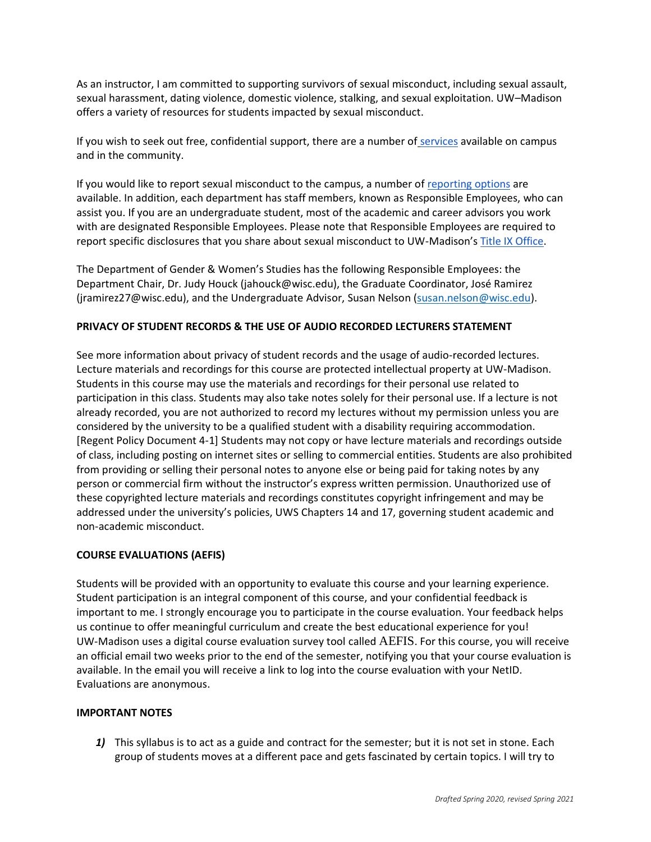As an instructor, I am committed to supporting survivors of sexual misconduct, including sexual assault, sexual harassment, dating violence, domestic violence, stalking, and sexual exploitation. UW–Madison offers a variety of resources for students impacted by sexual misconduct.

If you wish to seek out free, confidential support, there are a number of [services](https://www.uhs.wisc.edu/survivor-services/campus-community-resources-for-victims/) available on campus and in the community.

If you would like to report sexual misconduct to the campus, a number of [reporting options](https://compliance.wisc.edu/titleix/student-information/) are available. In addition, each department has staff members, known as Responsible Employees, who can assist you. If you are an undergraduate student, most of the academic and career advisors you work with are designated Responsible Employees. Please note that Responsible Employees are required to report specific disclosures that you share about sexual misconduct to UW-Madison's [Title IX Office.](https://compliance.wisc.edu/titleix/)

The Department of Gender & Women's Studies has the following Responsible Employees: the Department Chair, Dr. Judy Houck (jahouck@wisc.edu), the Graduate Coordinator, José Ramirez (jramirez27@wisc.edu), and the Undergraduate Advisor, Susan Nelson [\(susan.nelson@wisc.edu\)](mailto:susan.nelson@wisc.edu).

## **PRIVACY OF STUDENT RECORDS & THE USE OF AUDIO RECORDED LECTURERS STATEMENT**

See more information about [privacy of student records and the usage of audio-recorded lectures.](https://instructionalcontinuity.wisc.edu/2020/04/03/privacy-of-student-records-and-the-usage-of-audio-recorded-lectures/) Lecture materials and recordings for this course are protected intellectual property at UW-Madison. Students in this course may use the materials and recordings for their personal use related to participation in this class. Students may also take notes solely for their personal use. If a lecture is not already recorded, you are not authorized to record my lectures without my permission unless you are considered by the university to be a qualified student with a disability requiring accommodation. [Regent Policy Document 4-1] Students may not copy or have lecture materials and recordings outside of class, including posting on internet sites or selling to commercial entities. Students are also prohibited from providing or selling their personal notes to anyone else or being paid for taking notes by any person or commercial firm without the instructor's express written permission. Unauthorized use of these copyrighted lecture materials and recordings constitutes copyright infringement and may be addressed under the university's policies, UWS Chapters 14 and 17, governing student academic and non-academic misconduct.

## **COURSE EVALUATIONS (AEFIS)**

Students will be provided with an opportunity to evaluate this course and your learning experience. Student participation is an integral component of this course, and your confidential feedback is important to me. I strongly encourage you to participate in the course evaluation. Your feedback helps us continue to offer meaningful curriculum and create the best educational experience for you! UW-Madison uses a digital course evaluation survey tool called [AEFIS](https://kb.wisc.edu/luwmad/page.php?id=81069). For this course, you will receive an official email two weeks prior to the end of the semester, notifying you that your course evaluation is available. In the email you will receive a link to log into the course evaluation with your NetID. Evaluations are anonymous.

#### **IMPORTANT NOTES**

1) This syllabus is to act as a guide and contract for the semester; but it is not set in stone. Each group of students moves at a different pace and gets fascinated by certain topics. I will try to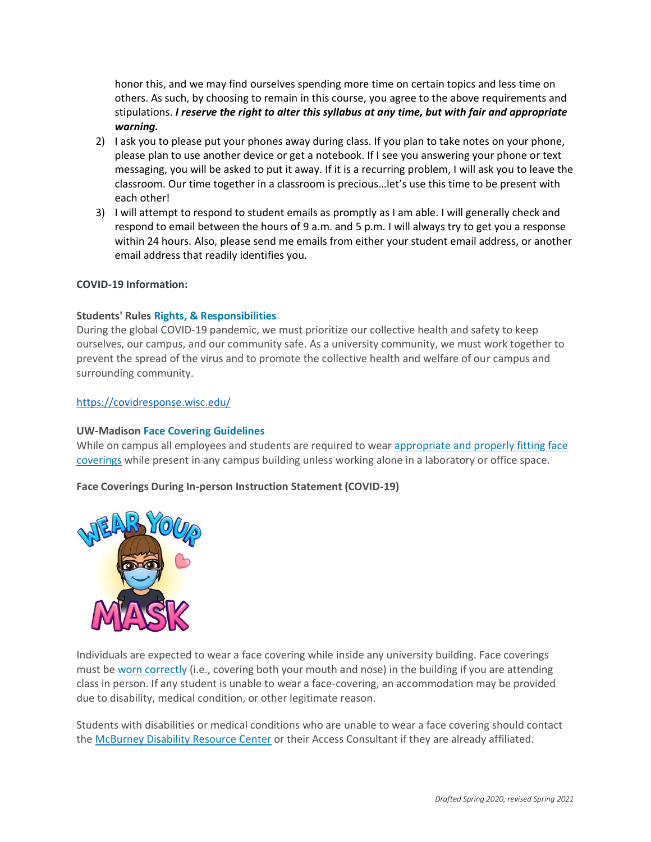honor this, and we may find ourselves spending more time on certain topics and less time on others. As such, by choosing to remain in this course, you agree to the above requirements and stipulations. *I reserve the right to alter this syllabus at any time, but with fair and appropriate warning.*

- 2) I ask you to please put your phones away during class. If you plan to take notes on your phone, please plan to use another device or get a notebook. If I see you answering your phone or text messaging, you will be asked to put it away. If it is a recurring problem, I will ask you to leave the classroom. Our time together in a classroom is precious…let's use this time to be present with each other!
- 3) I will attempt to respond to student emails as promptly as I am able. I will generally check and respond to email between the hours of 9 a.m. and 5 p.m. I will always try to get you a response within 24 hours. Also, please send me emails from either your student email address, or another email address that readily identifies you.

### **COVID-19 Information:**

### **Students' Rules [Rights, & Responsibilities](https://guide.wisc.edu/undergraduate/#rulesrightsandresponsibilitiestext)**

During the global COVID-19 pandemic, we must prioritize our collective health and safety to keep ourselves, our campus, and our community safe. As a university community, we must work together to prevent the spread of the virus and to promote the collective health and welfare of our campus and surrounding community.

### <https://covidresponse.wisc.edu/>

#### **UW-Madison [Face Covering Guidelines](https://d1cjb8q1w2lzm7.cloudfront.net/wp-content/uploads/sites/22/2020/06/Cloth-face-cover-guidance-06-22-20-final.pdf)**

While on campus all employees and students are required to wear [appropriate and properly fitting face](https://www.cdc.gov/coronavirus/2019-ncov/prevent-getting-sick/how-to-wear-cloth-face-coverings.html)  [coverings](https://www.cdc.gov/coronavirus/2019-ncov/prevent-getting-sick/how-to-wear-cloth-face-coverings.html) while present in any campus building unless working alone in a laboratory or office space.

#### **Face Coverings During In-person Instruction Statement (COVID-19)**



Individuals are expected to wear a face covering while inside any university building. Face coverings must be [worn correctly](https://www.cdc.gov/coronavirus/2019-ncov/prevent-getting-sick/how-to-wear-cloth-face-coverings.html) (i.e., covering both your mouth and nose) in the building if you are attending class in person. If any student is unable to wear a face-covering, an accommodation may be provided due to disability, medical condition, or other legitimate reason.

Students with disabilities or medical conditions who are unable to wear a face covering should contact the [McBurney Disability Resource Center](https://mcburney.wisc.edu/) or their Access Consultant if they are already affiliated.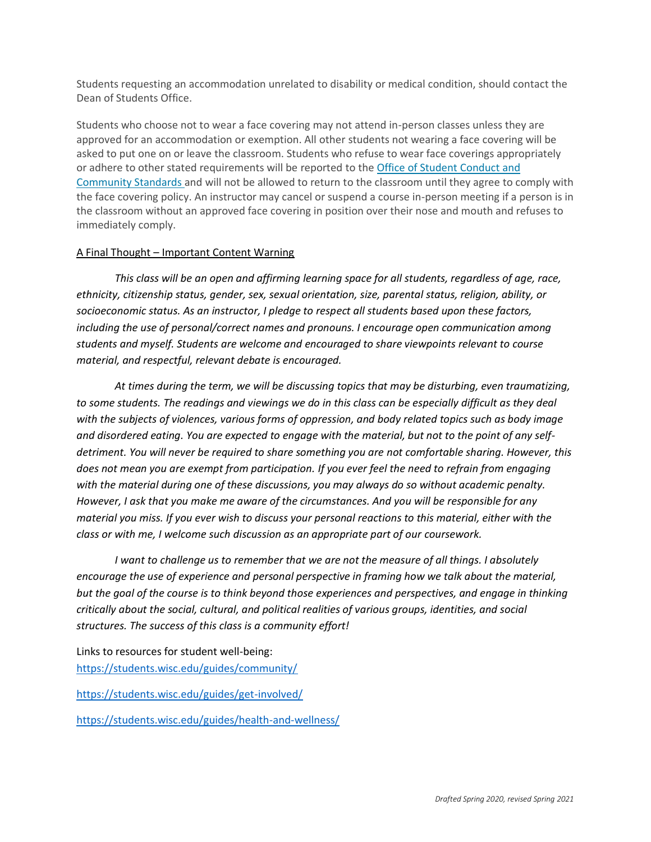Students requesting an accommodation unrelated to disability or medical condition, should contact the Dean of Students Office.

Students who choose not to wear a face covering may not attend in-person classes unless they are approved for an accommodation or exemption. All other students not wearing a face covering will be asked to put one on or leave the classroom. Students who refuse to wear face coverings appropriately or adhere to other stated requirements will be reported to the [Office of Student Conduct and](https://conduct.students.wisc.edu/)  [Community Standards](https://conduct.students.wisc.edu/) and will not be allowed to return to the classroom until they agree to comply with the face covering policy. An instructor may cancel or suspend a course in-person meeting if a person is in the classroom without an approved face covering in position over their nose and mouth and refuses to immediately comply.

## A Final Thought – Important Content Warning

*This class will be an open and affirming learning space for all students, regardless of age, race, ethnicity, citizenship status, gender, sex, sexual orientation, size, parental status, religion, ability, or socioeconomic status. As an instructor, I pledge to respect all students based upon these factors, including the use of personal/correct names and pronouns. I encourage open communication among students and myself. Students are welcome and encouraged to share viewpoints relevant to course material, and respectful, relevant debate is encouraged.*

*At times during the term, we will be discussing topics that may be disturbing, even traumatizing, to some students. The readings and viewings we do in this class can be especially difficult as they deal with the subjects of violences, various forms of oppression, and body related topics such as body image and disordered eating. You are expected to engage with the material, but not to the point of any selfdetriment. You will never be required to share something you are not comfortable sharing. However, this does not mean you are exempt from participation. If you ever feel the need to refrain from engaging with the material during one of these discussions, you may always do so without academic penalty. However, I ask that you make me aware of the circumstances. And you will be responsible for any material you miss. If you ever wish to discuss your personal reactions to this material, either with the class or with me, I welcome such discussion as an appropriate part of our coursework.*

*I* want to challenge us to remember that we are not the measure of all things. I absolutely *encourage the use of experience and personal perspective in framing how we talk about the material, but the goal of the course is to think beyond those experiences and perspectives, and engage in thinking critically about the social, cultural, and political realities of various groups, identities, and social structures. The success of this class is a community effort!*

Links to resources for student well-being: <https://students.wisc.edu/guides/community/>

<https://students.wisc.edu/guides/get-involved/>

<https://students.wisc.edu/guides/health-and-wellness/>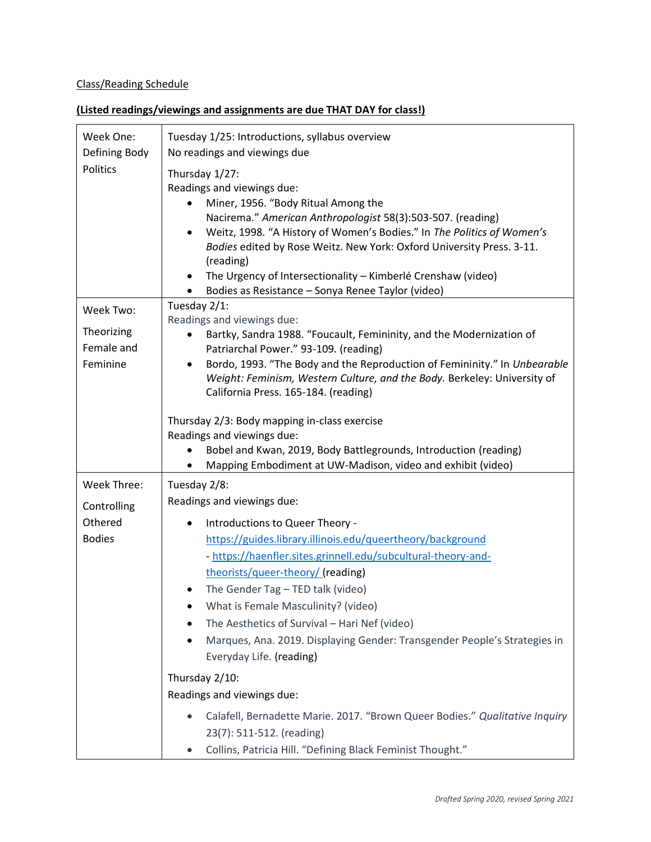# Class/Reading Schedule

# **(Listed readings/viewings and assignments are due THAT DAY for class!)**

| Week One:                 | Tuesday 1/25: Introductions, syllabus overview                                                                                                                     |  |
|---------------------------|--------------------------------------------------------------------------------------------------------------------------------------------------------------------|--|
| Defining Body<br>Politics | No readings and viewings due                                                                                                                                       |  |
|                           | Thursday 1/27:<br>Readings and viewings due:                                                                                                                       |  |
|                           | Miner, 1956. "Body Ritual Among the                                                                                                                                |  |
|                           | Nacirema." American Anthropologist 58(3):503-507. (reading)                                                                                                        |  |
|                           | Weitz, 1998. "A History of Women's Bodies." In The Politics of Women's<br>$\bullet$                                                                                |  |
|                           | Bodies edited by Rose Weitz. New York: Oxford University Press. 3-11.                                                                                              |  |
|                           | (reading)                                                                                                                                                          |  |
|                           | The Urgency of Intersectionality - Kimberlé Crenshaw (video)<br>$\bullet$<br>Bodies as Resistance - Sonya Renee Taylor (video)                                     |  |
|                           | Tuesday $2/1$ :                                                                                                                                                    |  |
| Week Two:                 | Readings and viewings due:                                                                                                                                         |  |
| Theorizing                | Bartky, Sandra 1988. "Foucault, Femininity, and the Modernization of                                                                                               |  |
| Female and                | Patriarchal Power." 93-109. (reading)                                                                                                                              |  |
| Feminine                  | Bordo, 1993. "The Body and the Reproduction of Femininity." In Unbearable<br>$\bullet$<br>Weight: Feminism, Western Culture, and the Body. Berkeley: University of |  |
|                           | California Press. 165-184. (reading)                                                                                                                               |  |
|                           |                                                                                                                                                                    |  |
|                           | Thursday 2/3: Body mapping in-class exercise                                                                                                                       |  |
|                           | Readings and viewings due:                                                                                                                                         |  |
|                           | Bobel and Kwan, 2019, Body Battlegrounds, Introduction (reading)<br>Mapping Embodiment at UW-Madison, video and exhibit (video)                                    |  |
| Week Three:               | Tuesday 2/8:                                                                                                                                                       |  |
| Controlling               | Readings and viewings due:                                                                                                                                         |  |
| Othered                   | Introductions to Queer Theory -                                                                                                                                    |  |
| <b>Bodies</b>             | https://guides.library.illinois.edu/queertheory/background                                                                                                         |  |
|                           | - https://haenfler.sites.grinnell.edu/subcultural-theory-and-                                                                                                      |  |
|                           | theorists/queer-theory/ (reading)                                                                                                                                  |  |
|                           | The Gender Tag - TED talk (video)                                                                                                                                  |  |
|                           | What is Female Masculinity? (video)                                                                                                                                |  |
|                           | The Aesthetics of Survival - Hari Nef (video)                                                                                                                      |  |
|                           | Marques, Ana. 2019. Displaying Gender: Transgender People's Strategies in<br>٠                                                                                     |  |
|                           | Everyday Life. (reading)                                                                                                                                           |  |
|                           | Thursday 2/10:                                                                                                                                                     |  |
|                           | Readings and viewings due:                                                                                                                                         |  |
|                           | Calafell, Bernadette Marie. 2017. "Brown Queer Bodies." Qualitative Inquiry                                                                                        |  |
|                           | 23(7): 511-512. (reading)                                                                                                                                          |  |
|                           | Collins, Patricia Hill. "Defining Black Feminist Thought."                                                                                                         |  |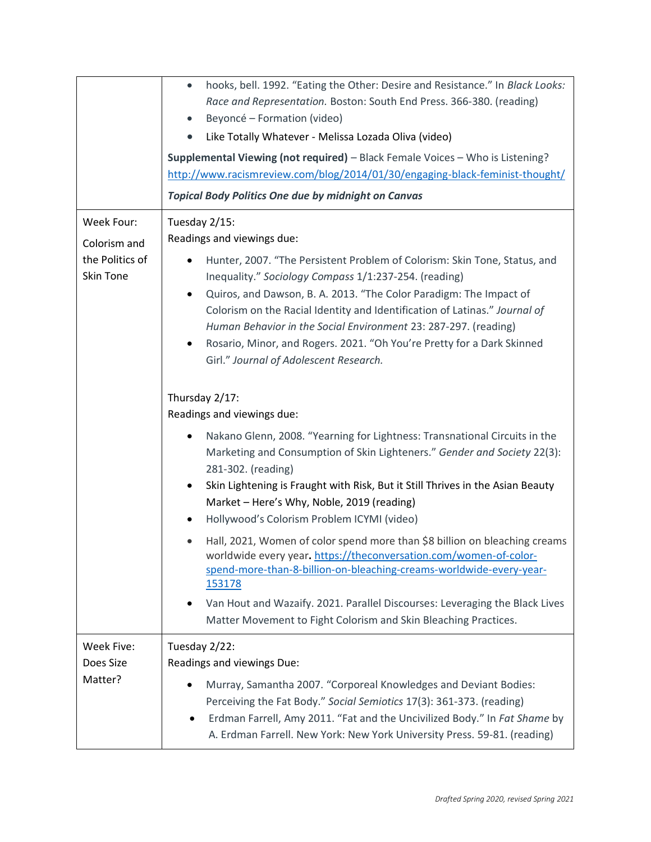|                                                                   | hooks, bell. 1992. "Eating the Other: Desire and Resistance." In Black Looks:<br>$\bullet$<br>Race and Representation. Boston: South End Press. 366-380. (reading)<br>Beyoncé - Formation (video)<br>Like Totally Whatever - Melissa Lozada Oliva (video)<br>Supplemental Viewing (not required) - Black Female Voices - Who is Listening?<br>http://www.racismreview.com/blog/2014/01/30/engaging-black-feminist-thought/<br><b>Topical Body Politics One due by midnight on Canvas</b>                                                                                                                                                                                                                                                                                                                                                                                                                                                                                                                                                                                                                                                                                                                                                                                                                                                                                          |
|-------------------------------------------------------------------|-----------------------------------------------------------------------------------------------------------------------------------------------------------------------------------------------------------------------------------------------------------------------------------------------------------------------------------------------------------------------------------------------------------------------------------------------------------------------------------------------------------------------------------------------------------------------------------------------------------------------------------------------------------------------------------------------------------------------------------------------------------------------------------------------------------------------------------------------------------------------------------------------------------------------------------------------------------------------------------------------------------------------------------------------------------------------------------------------------------------------------------------------------------------------------------------------------------------------------------------------------------------------------------------------------------------------------------------------------------------------------------|
| Week Four:<br>Colorism and<br>the Politics of<br><b>Skin Tone</b> | Tuesday 2/15:<br>Readings and viewings due:<br>Hunter, 2007. "The Persistent Problem of Colorism: Skin Tone, Status, and<br>$\bullet$<br>Inequality." Sociology Compass 1/1:237-254. (reading)<br>Quiros, and Dawson, B. A. 2013. "The Color Paradigm: The Impact of<br>$\bullet$<br>Colorism on the Racial Identity and Identification of Latinas." Journal of<br>Human Behavior in the Social Environment 23: 287-297. (reading)<br>Rosario, Minor, and Rogers. 2021. "Oh You're Pretty for a Dark Skinned<br>٠<br>Girl." Journal of Adolescent Research.<br>Thursday 2/17:<br>Readings and viewings due:<br>Nakano Glenn, 2008. "Yearning for Lightness: Transnational Circuits in the<br>Marketing and Consumption of Skin Lighteners." Gender and Society 22(3):<br>281-302. (reading)<br>Skin Lightening is Fraught with Risk, But it Still Thrives in the Asian Beauty<br>٠<br>Market - Here's Why, Noble, 2019 (reading)<br>Hollywood's Colorism Problem ICYMI (video)<br>Hall, 2021, Women of color spend more than \$8 billion on bleaching creams<br>$\bullet$<br>worldwide every year. https://theconversation.com/women-of-color-<br>spend-more-than-8-billion-on-bleaching-creams-worldwide-every-year-<br>153178<br>Van Hout and Wazaify. 2021. Parallel Discourses: Leveraging the Black Lives<br>Matter Movement to Fight Colorism and Skin Bleaching Practices. |
| Week Five:<br>Does Size<br>Matter?                                | Tuesday 2/22:<br>Readings and viewings Due:<br>Murray, Samantha 2007. "Corporeal Knowledges and Deviant Bodies:<br>Perceiving the Fat Body." Social Semiotics 17(3): 361-373. (reading)<br>Erdman Farrell, Amy 2011. "Fat and the Uncivilized Body." In Fat Shame by<br>A. Erdman Farrell. New York: New York University Press. 59-81. (reading)                                                                                                                                                                                                                                                                                                                                                                                                                                                                                                                                                                                                                                                                                                                                                                                                                                                                                                                                                                                                                                  |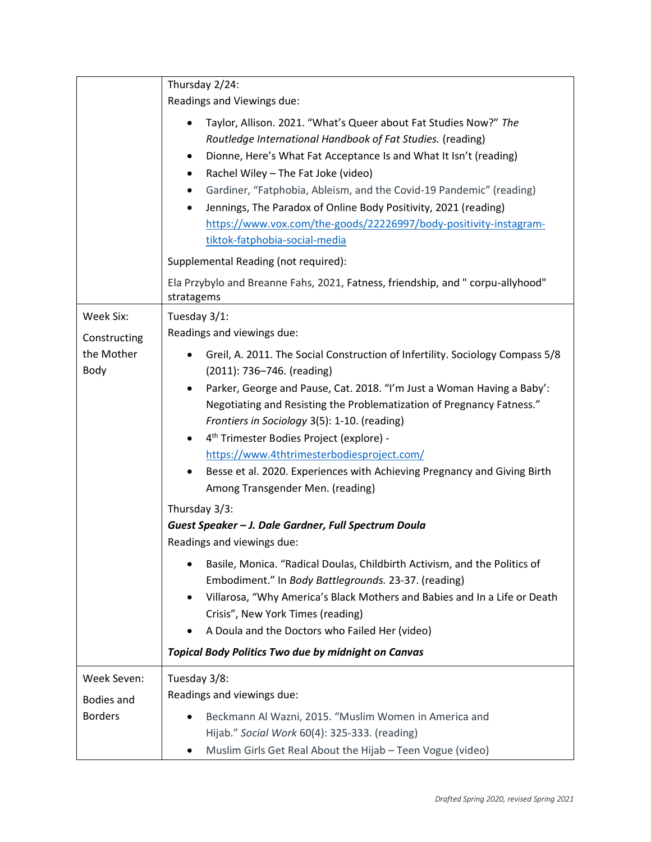|                   | Thursday 2/24:                                                                                                                         |
|-------------------|----------------------------------------------------------------------------------------------------------------------------------------|
|                   | Readings and Viewings due:                                                                                                             |
|                   | Taylor, Allison. 2021. "What's Queer about Fat Studies Now?" The                                                                       |
|                   | Routledge International Handbook of Fat Studies. (reading)                                                                             |
|                   | Dionne, Here's What Fat Acceptance Is and What It Isn't (reading)<br>٠                                                                 |
|                   | Rachel Wiley - The Fat Joke (video)<br>٠                                                                                               |
|                   | Gardiner, "Fatphobia, Ableism, and the Covid-19 Pandemic" (reading)                                                                    |
|                   | Jennings, The Paradox of Online Body Positivity, 2021 (reading)                                                                        |
|                   | https://www.vox.com/the-goods/22226997/body-positivity-instagram-                                                                      |
|                   | tiktok-fatphobia-social-media                                                                                                          |
|                   | Supplemental Reading (not required):                                                                                                   |
|                   | Ela Przybylo and Breanne Fahs, 2021, Fatness, friendship, and " corpu-allyhood"<br>stratagems                                          |
| Week Six:         | Tuesday 3/1:                                                                                                                           |
| Constructing      | Readings and viewings due:                                                                                                             |
| the Mother        | Greil, A. 2011. The Social Construction of Infertility. Sociology Compass 5/8                                                          |
| Body              | (2011): 736-746. (reading)                                                                                                             |
|                   | Parker, George and Pause, Cat. 2018. "I'm Just a Woman Having a Baby':                                                                 |
|                   | Negotiating and Resisting the Problematization of Pregnancy Fatness."                                                                  |
|                   | Frontiers in Sociology 3(5): 1-10. (reading)                                                                                           |
|                   | 4 <sup>th</sup> Trimester Bodies Project (explore) -<br>$\bullet$                                                                      |
|                   | https://www.4thtrimesterbodiesproject.com/                                                                                             |
|                   | Besse et al. 2020. Experiences with Achieving Pregnancy and Giving Birth                                                               |
|                   | Among Transgender Men. (reading)                                                                                                       |
|                   | Thursday 3/3:                                                                                                                          |
|                   | Guest Speaker - J. Dale Gardner, Full Spectrum Doula<br>Readings and viewings due:                                                     |
|                   | Basile, Monica. "Radical Doulas, Childbirth Activism, and the Politics of<br>٠<br>Embodiment." In Body Battlegrounds. 23-37. (reading) |
|                   | Villarosa, "Why America's Black Mothers and Babies and In a Life or Death<br>$\bullet$                                                 |
|                   | Crisis", New York Times (reading)                                                                                                      |
|                   | A Doula and the Doctors who Failed Her (video)                                                                                         |
|                   | <b>Topical Body Politics Two due by midnight on Canvas</b>                                                                             |
| Week Seven:       | Tuesday 3/8:                                                                                                                           |
| <b>Bodies and</b> | Readings and viewings due:                                                                                                             |
| <b>Borders</b>    | Beckmann Al Wazni, 2015. "Muslim Women in America and                                                                                  |
|                   | Hijab." Social Work 60(4): 325-333. (reading)                                                                                          |
|                   | Muslim Girls Get Real About the Hijab - Teen Vogue (video)                                                                             |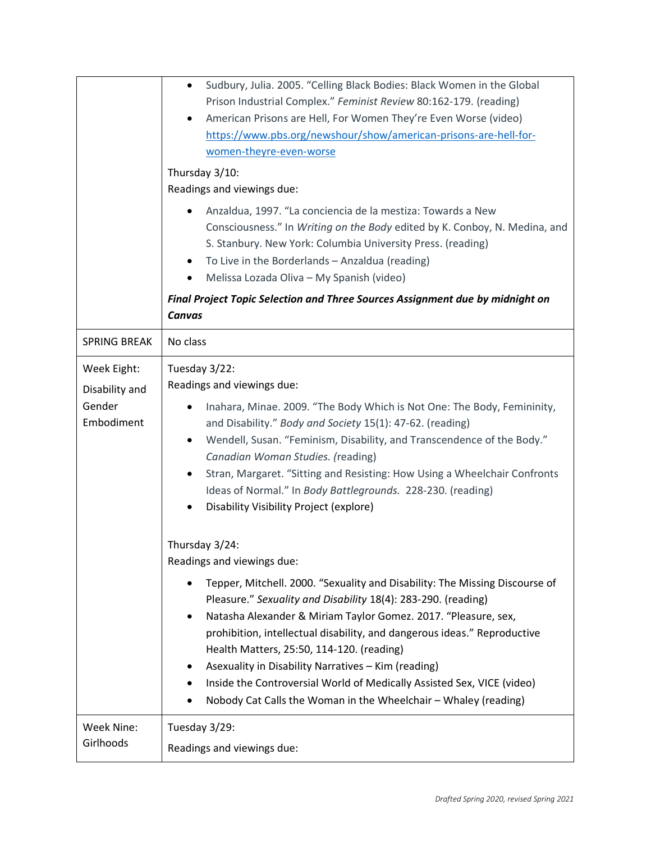|                                                       | Sudbury, Julia. 2005. "Celling Black Bodies: Black Women in the Global<br>$\bullet$<br>Prison Industrial Complex." Feminist Review 80:162-179. (reading)<br>American Prisons are Hell, For Women They're Even Worse (video)<br>$\bullet$<br>https://www.pbs.org/newshour/show/american-prisons-are-hell-for-<br>women-theyre-even-worse<br>Thursday 3/10:<br>Readings and viewings due:<br>Anzaldua, 1997. "La conciencia de la mestiza: Towards a New<br>Consciousness." In Writing on the Body edited by K. Conboy, N. Medina, and<br>S. Stanbury. New York: Columbia University Press. (reading)<br>To Live in the Borderlands - Anzaldua (reading)<br>٠<br>Melissa Lozada Oliva - My Spanish (video)<br>٠<br>Final Project Topic Selection and Three Sources Assignment due by midnight on<br>Canvas |
|-------------------------------------------------------|----------------------------------------------------------------------------------------------------------------------------------------------------------------------------------------------------------------------------------------------------------------------------------------------------------------------------------------------------------------------------------------------------------------------------------------------------------------------------------------------------------------------------------------------------------------------------------------------------------------------------------------------------------------------------------------------------------------------------------------------------------------------------------------------------------|
| <b>SPRING BREAK</b>                                   | No class                                                                                                                                                                                                                                                                                                                                                                                                                                                                                                                                                                                                                                                                                                                                                                                                 |
| Week Eight:<br>Disability and<br>Gender<br>Embodiment | Tuesday 3/22:<br>Readings and viewings due:<br>Inahara, Minae. 2009. "The Body Which is Not One: The Body, Femininity,<br>٠<br>and Disability." Body and Society 15(1): 47-62. (reading)<br>Wendell, Susan. "Feminism, Disability, and Transcendence of the Body."<br>٠<br>Canadian Woman Studies. (reading)<br>Stran, Margaret. "Sitting and Resisting: How Using a Wheelchair Confronts<br>Ideas of Normal." In Body Battlegrounds. 228-230. (reading)<br>Disability Visibility Project (explore)                                                                                                                                                                                                                                                                                                      |
|                                                       | Thursday 3/24:<br>Readings and viewings due:<br>Tepper, Mitchell. 2000. "Sexuality and Disability: The Missing Discourse of<br>Pleasure." Sexuality and Disability 18(4): 283-290. (reading)<br>Natasha Alexander & Miriam Taylor Gomez. 2017. "Pleasure, sex,<br>$\bullet$<br>prohibition, intellectual disability, and dangerous ideas." Reproductive<br>Health Matters, 25:50, 114-120. (reading)<br>Asexuality in Disability Narratives - Kim (reading)<br>Inside the Controversial World of Medically Assisted Sex, VICE (video)<br>Nobody Cat Calls the Woman in the Wheelchair - Whaley (reading)<br>٠                                                                                                                                                                                            |
| Week Nine:<br>Girlhoods                               | Tuesday 3/29:<br>Readings and viewings due:                                                                                                                                                                                                                                                                                                                                                                                                                                                                                                                                                                                                                                                                                                                                                              |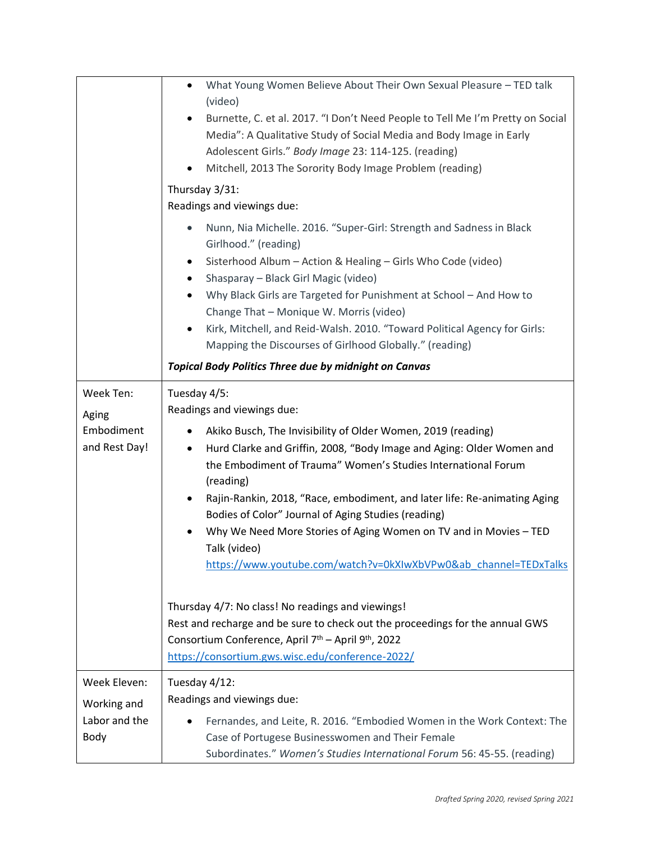|                                      | What Young Women Believe About Their Own Sexual Pleasure - TED talk<br>$\bullet$<br>(video)<br>Burnette, C. et al. 2017. "I Don't Need People to Tell Me I'm Pretty on Social<br>Media": A Qualitative Study of Social Media and Body Image in Early<br>Adolescent Girls." Body Image 23: 114-125. (reading)<br>Mitchell, 2013 The Sorority Body Image Problem (reading)<br>$\bullet$<br>Thursday 3/31:<br>Readings and viewings due:                                                                                                                         |
|--------------------------------------|---------------------------------------------------------------------------------------------------------------------------------------------------------------------------------------------------------------------------------------------------------------------------------------------------------------------------------------------------------------------------------------------------------------------------------------------------------------------------------------------------------------------------------------------------------------|
|                                      | Nunn, Nia Michelle. 2016. "Super-Girl: Strength and Sadness in Black<br>$\bullet$<br>Girlhood." (reading)<br>Sisterhood Album - Action & Healing - Girls Who Code (video)<br>Shasparay - Black Girl Magic (video)<br>٠<br>Why Black Girls are Targeted for Punishment at School - And How to<br>Change That - Monique W. Morris (video)<br>Kirk, Mitchell, and Reid-Walsh. 2010. "Toward Political Agency for Girls:<br>$\bullet$<br>Mapping the Discourses of Girlhood Globally." (reading)<br><b>Topical Body Politics Three due by midnight on Canvas</b>  |
| Week Ten:                            | Tuesday 4/5:                                                                                                                                                                                                                                                                                                                                                                                                                                                                                                                                                  |
| Aging<br>Embodiment<br>and Rest Day! | Readings and viewings due:<br>Akiko Busch, The Invisibility of Older Women, 2019 (reading)<br>٠<br>Hurd Clarke and Griffin, 2008, "Body Image and Aging: Older Women and<br>٠<br>the Embodiment of Trauma" Women's Studies International Forum<br>(reading)<br>Rajin-Rankin, 2018, "Race, embodiment, and later life: Re-animating Aging<br>٠<br>Bodies of Color" Journal of Aging Studies (reading)<br>Why We Need More Stories of Aging Women on TV and in Movies - TED<br>Talk (video)<br>https://www.youtube.com/watch?v=0kXIwXbVPw0&ab_channel=TEDxTalks |
|                                      | Thursday 4/7: No class! No readings and viewings!<br>Rest and recharge and be sure to check out the proceedings for the annual GWS<br>Consortium Conference, April 7 <sup>th</sup> – April 9 <sup>th</sup> , 2022<br>https://consortium.gws.wisc.edu/conference-2022/                                                                                                                                                                                                                                                                                         |
| Week Eleven:                         | Tuesday 4/12:<br>Readings and viewings due:                                                                                                                                                                                                                                                                                                                                                                                                                                                                                                                   |
| Working and<br>Labor and the<br>Body | Fernandes, and Leite, R. 2016. "Embodied Women in the Work Context: The<br>Case of Portugese Businesswomen and Their Female<br>Subordinates." Women's Studies International Forum 56: 45-55. (reading)                                                                                                                                                                                                                                                                                                                                                        |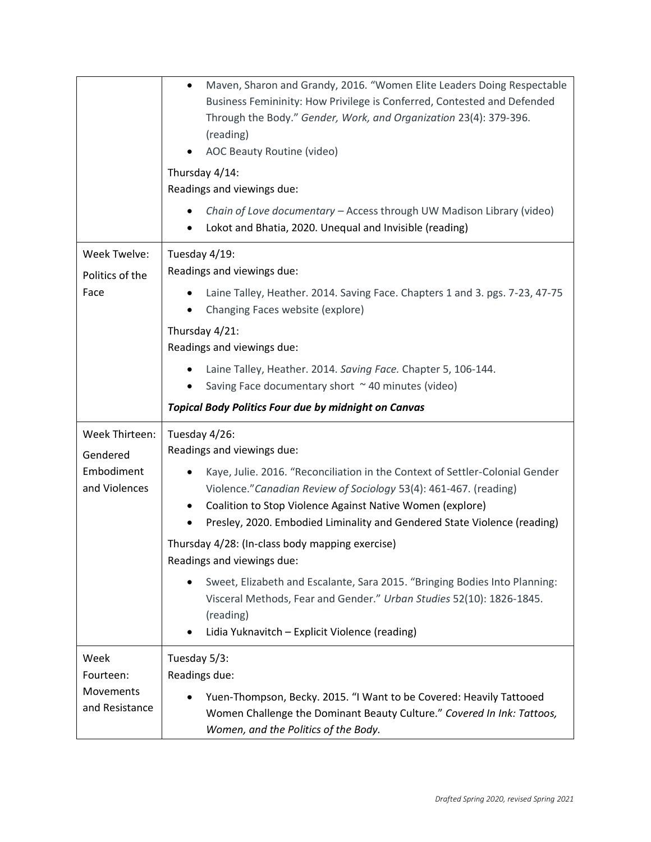|                             | Maven, Sharon and Grandy, 2016. "Women Elite Leaders Doing Respectable<br>$\bullet$<br>Business Femininity: How Privilege is Conferred, Contested and Defended<br>Through the Body." Gender, Work, and Organization 23(4): 379-396.<br>(reading)<br>AOC Beauty Routine (video)<br>Thursday 4/14:<br>Readings and viewings due:<br>Chain of Love documentary - Access through UW Madison Library (video)<br>Lokot and Bhatia, 2020. Unequal and Invisible (reading) |
|-----------------------------|--------------------------------------------------------------------------------------------------------------------------------------------------------------------------------------------------------------------------------------------------------------------------------------------------------------------------------------------------------------------------------------------------------------------------------------------------------------------|
| Week Twelve:                | Tuesday 4/19:                                                                                                                                                                                                                                                                                                                                                                                                                                                      |
| Politics of the             | Readings and viewings due:                                                                                                                                                                                                                                                                                                                                                                                                                                         |
| Face                        | Laine Talley, Heather. 2014. Saving Face. Chapters 1 and 3. pgs. 7-23, 47-75<br>Changing Faces website (explore)<br>٠                                                                                                                                                                                                                                                                                                                                              |
|                             | Thursday 4/21:                                                                                                                                                                                                                                                                                                                                                                                                                                                     |
|                             | Readings and viewings due:                                                                                                                                                                                                                                                                                                                                                                                                                                         |
|                             | Laine Talley, Heather. 2014. Saving Face. Chapter 5, 106-144.<br>Saving Face documentary short ~40 minutes (video)                                                                                                                                                                                                                                                                                                                                                 |
|                             | <b>Topical Body Politics Four due by midnight on Canvas</b>                                                                                                                                                                                                                                                                                                                                                                                                        |
| Week Thirteen:<br>Gendered  | Tuesday 4/26:<br>Readings and viewings due:                                                                                                                                                                                                                                                                                                                                                                                                                        |
| Embodiment<br>and Violences | Kaye, Julie. 2016. "Reconciliation in the Context of Settler-Colonial Gender<br>Violence." Canadian Review of Sociology 53(4): 461-467. (reading)                                                                                                                                                                                                                                                                                                                  |
|                             | Coalition to Stop Violence Against Native Women (explore)<br>Presley, 2020. Embodied Liminality and Gendered State Violence (reading)                                                                                                                                                                                                                                                                                                                              |
|                             | Thursday 4/28: (In-class body mapping exercise)<br>Readings and viewings due:                                                                                                                                                                                                                                                                                                                                                                                      |
|                             | Sweet, Elizabeth and Escalante, Sara 2015. "Bringing Bodies Into Planning:<br>Visceral Methods, Fear and Gender." Urban Studies 52(10): 1826-1845.<br>(reading)                                                                                                                                                                                                                                                                                                    |
|                             | Lidia Yuknavitch - Explicit Violence (reading)                                                                                                                                                                                                                                                                                                                                                                                                                     |
| Week<br>Fourteen:           | Tuesday 5/3:<br>Readings due:                                                                                                                                                                                                                                                                                                                                                                                                                                      |
| Movements<br>and Resistance | Yuen-Thompson, Becky. 2015. "I Want to be Covered: Heavily Tattooed<br>Women Challenge the Dominant Beauty Culture." Covered In Ink: Tattoos,                                                                                                                                                                                                                                                                                                                      |